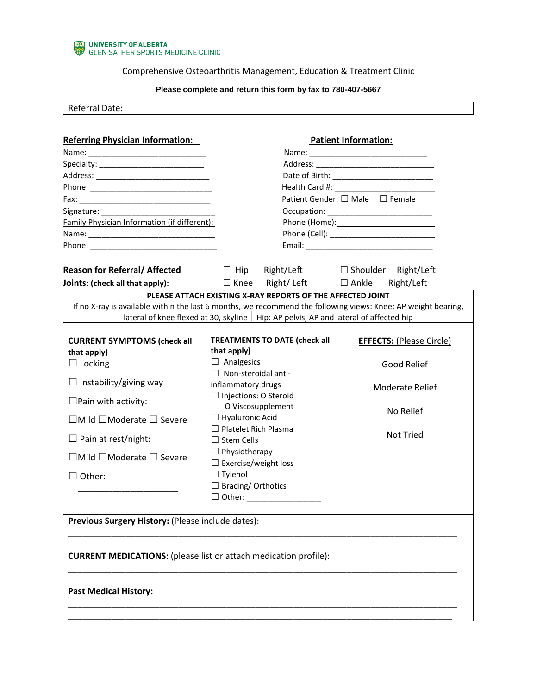

Comprehensive Osteoarthritis Management, Education & Treatment Clinic

## **Please complete and return this form by fax to 780-407-5667**

Referral Date:

| <b>Referring Physician Information:</b>                                 | <b>Patient Information:</b>                                                                  |                                                                                                               |
|-------------------------------------------------------------------------|----------------------------------------------------------------------------------------------|---------------------------------------------------------------------------------------------------------------|
|                                                                         |                                                                                              |                                                                                                               |
|                                                                         |                                                                                              |                                                                                                               |
|                                                                         |                                                                                              |                                                                                                               |
|                                                                         |                                                                                              |                                                                                                               |
|                                                                         | Patient Gender: □ Male □ Female                                                              |                                                                                                               |
|                                                                         |                                                                                              |                                                                                                               |
| Family Physician Information (if different):                            |                                                                                              |                                                                                                               |
|                                                                         |                                                                                              |                                                                                                               |
|                                                                         |                                                                                              |                                                                                                               |
| <b>Reason for Referral/ Affected</b>                                    | Right/Left □ Shoulder<br>$\Box$ Hip                                                          | Right/Left                                                                                                    |
| <b>Joints: (check all that apply):</b> $\Box$ Knee                      | Right/Left $\Box$ Ankle                                                                      | Right/Left                                                                                                    |
|                                                                         | lateral of knee flexed at 30, skyline $\vert$ Hip: AP pelvis, AP and lateral of affected hip | If no X-ray is available within the last 6 months, we recommend the following views: Knee: AP weight bearing, |
| <b>CURRENT SYMPTOMS (check all</b>                                      | <b>TREATMENTS TO DATE (check all</b>                                                         | <b>EFFECTS: (Please Circle)</b>                                                                               |
| that apply)                                                             | that apply)                                                                                  |                                                                                                               |
| $\Box$ Locking                                                          | $\Box$ Analgesics<br>$\Box$ Non-steroidal anti-                                              | Good Relief                                                                                                   |
| $\Box$ Instability/giving way                                           | inflammatory drugs                                                                           |                                                                                                               |
|                                                                         | $\Box$ Injections: O Steroid                                                                 | <b>Moderate Relief</b>                                                                                        |
| $\Box$ Pain with activity:                                              | O Viscosupplement                                                                            |                                                                                                               |
| $\Box$ Mild $\Box$ Moderate $\Box$ Severe                               | $\Box$ Hyaluronic Acid                                                                       | No Relief                                                                                                     |
|                                                                         | $\Box$ Platelet Rich Plasma                                                                  |                                                                                                               |
| $\Box$ Pain at rest/night:                                              | $\Box$ Stem Cells                                                                            | <b>Not Tried</b>                                                                                              |
| $\Box$ Mild $\Box$ Moderate $\Box$ Severe                               | $\Box$ Physiotherapy<br>$\Box$ Exercise/weight loss                                          |                                                                                                               |
|                                                                         | $\Box$ Tylenol                                                                               |                                                                                                               |
| $\Box$ Other:                                                           | $\Box$ Bracing/ Orthotics                                                                    |                                                                                                               |
|                                                                         |                                                                                              |                                                                                                               |
|                                                                         |                                                                                              |                                                                                                               |
| Previous Surgery History: (Please include dates):                       |                                                                                              |                                                                                                               |
|                                                                         |                                                                                              |                                                                                                               |
| <b>CURRENT MEDICATIONS:</b> (please list or attach medication profile): |                                                                                              |                                                                                                               |
| <b>Past Medical History:</b>                                            |                                                                                              |                                                                                                               |
|                                                                         |                                                                                              |                                                                                                               |